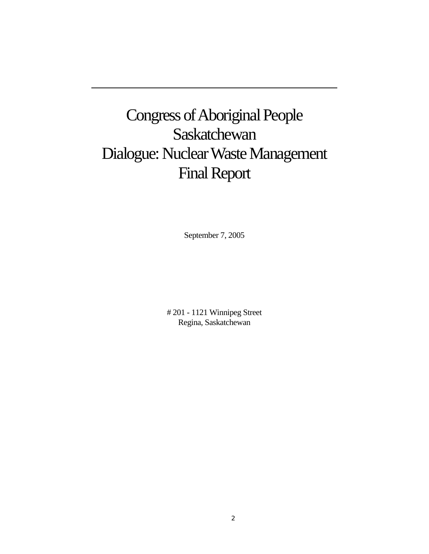# Congress of Aboriginal People **Saskatchewan** Dialogue: Nuclear Waste Management Final Report

September 7, 2005

# 201 - 1121 Winnipeg Street Regina, Saskatchewan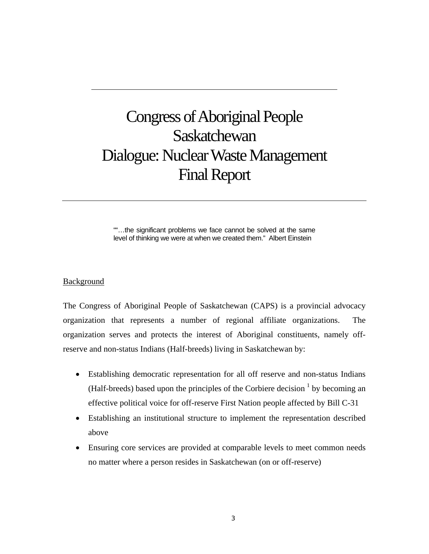## Congress of Aboriginal People **Saskatchewan** Dialogue: Nuclear Waste Management Final Report

""…the significant problems we face cannot be solved at the same level of thinking we were at when we created them." Albert Einstein

## Background

The Congress of Aboriginal People of Saskatchewan (CAPS) is a provincial advocacy organization that represents a number of regional affiliate organizations. The organization serves and protects the interest of Aboriginal constituents, namely offreserve and non-status Indians (Half-breeds) living in Saskatchewan by:

- Establishing democratic representation for all off reserve and non-status Indians (Half-breeds) based upon the principles of the Corbiere decision  $<sup>1</sup>$  by becoming an</sup> effective political voice for off-reserve First Nation people affected by Bill C-31
- Establishing an institutional structure to implement the representation described above
- Ensuring core services are provided at comparable levels to meet common needs no matter where a person resides in Saskatchewan (on or off-reserve)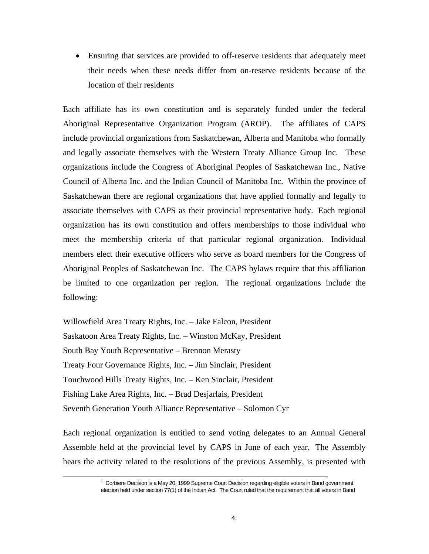• Ensuring that services are provided to off-reserve residents that adequately meet their needs when these needs differ from on-reserve residents because of the location of their residents

Each affiliate has its own constitution and is separately funded under the federal Aboriginal Representative Organization Program (AROP). The affiliates of CAPS include provincial organizations from Saskatchewan, Alberta and Manitoba who formally and legally associate themselves with the Western Treaty Alliance Group Inc. These organizations include the Congress of Aboriginal Peoples of Saskatchewan Inc., Native Council of Alberta Inc. and the Indian Council of Manitoba Inc. Within the province of Saskatchewan there are regional organizations that have applied formally and legally to associate themselves with CAPS as their provincial representative body. Each regional organization has its own constitution and offers memberships to those individual who meet the membership criteria of that particular regional organization. Individual members elect their executive officers who serve as board members for the Congress of Aboriginal Peoples of Saskatchewan Inc. The CAPS bylaws require that this affiliation be limited to one organization per region. The regional organizations include the following:

Willowfield Area Treaty Rights, Inc. – Jake Falcon, President Saskatoon Area Treaty Rights, Inc. – Winston McKay, President South Bay Youth Representative – Brennon Merasty Treaty Four Governance Rights, Inc. – Jim Sinclair, President Touchwood Hills Treaty Rights, Inc. – Ken Sinclair, President Fishing Lake Area Rights, Inc. – Brad Desjarlais, President Seventh Generation Youth Alliance Representative – Solomon Cyr

Each regional organization is entitled to send voting delegates to an Annual General Assemble held at the provincial level by CAPS in June of each year. The Assembly hears the activity related to the resolutions of the previous Assembly, is presented with

<sup>&</sup>lt;u>1</u>  $1$  Corbiere Decision is a May 20, 1999 Supreme Court Decision regarding eligible voters in Band government election held under section 77(1) of the Indian Act. The Court ruled that the requirement that all voters in Band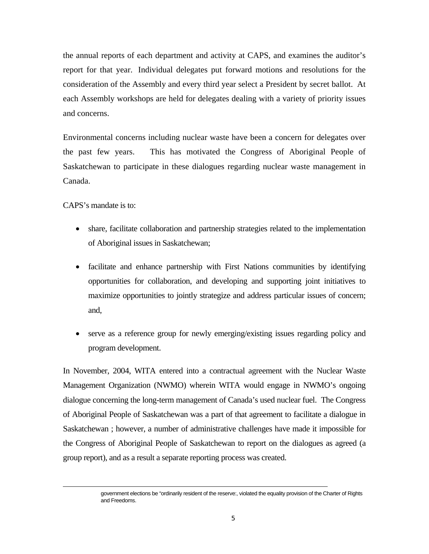the annual reports of each department and activity at CAPS, and examines the auditor's report for that year. Individual delegates put forward motions and resolutions for the consideration of the Assembly and every third year select a President by secret ballot. At each Assembly workshops are held for delegates dealing with a variety of priority issues and concerns.

Environmental concerns including nuclear waste have been a concern for delegates over the past few years. This has motivated the Congress of Aboriginal People of Saskatchewan to participate in these dialogues regarding nuclear waste management in Canada.

CAPS's mandate is to:

l

- share, facilitate collaboration and partnership strategies related to the implementation of Aboriginal issues in Saskatchewan;
- facilitate and enhance partnership with First Nations communities by identifying opportunities for collaboration, and developing and supporting joint initiatives to maximize opportunities to jointly strategize and address particular issues of concern; and,
- serve as a reference group for newly emerging/existing issues regarding policy and program development.

In November, 2004, WITA entered into a contractual agreement with the Nuclear Waste Management Organization (NWMO) wherein WITA would engage in NWMO's ongoing dialogue concerning the long-term management of Canada's used nuclear fuel. The Congress of Aboriginal People of Saskatchewan was a part of that agreement to facilitate a dialogue in Saskatchewan ; however, a number of administrative challenges have made it impossible for the Congress of Aboriginal People of Saskatchewan to report on the dialogues as agreed (a group report), and as a result a separate reporting process was created.

government elections be "ordinarily resident of the reserve:, violated the equality provision of the Charter of Rights and Freedoms.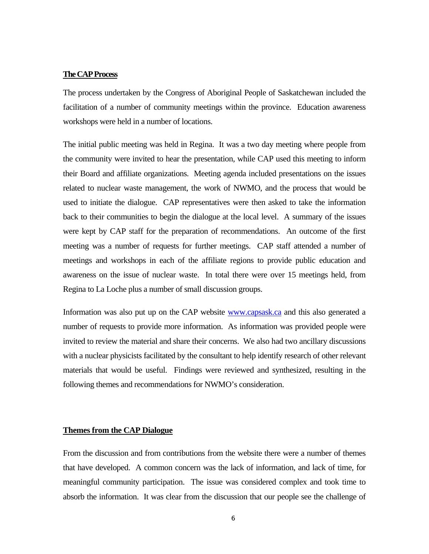#### **The CAP Process**

The process undertaken by the Congress of Aboriginal People of Saskatchewan included the facilitation of a number of community meetings within the province. Education awareness workshops were held in a number of locations.

The initial public meeting was held in Regina. It was a two day meeting where people from the community were invited to hear the presentation, while CAP used this meeting to inform their Board and affiliate organizations. Meeting agenda included presentations on the issues related to nuclear waste management, the work of NWMO, and the process that would be used to initiate the dialogue. CAP representatives were then asked to take the information back to their communities to begin the dialogue at the local level. A summary of the issues were kept by CAP staff for the preparation of recommendations. An outcome of the first meeting was a number of requests for further meetings. CAP staff attended a number of meetings and workshops in each of the affiliate regions to provide public education and awareness on the issue of nuclear waste. In total there were over 15 meetings held, from Regina to La Loche plus a number of small discussion groups.

Information was also put up on the CAP website www.capsask.ca and this also generated a number of requests to provide more information. As information was provided people were invited to review the material and share their concerns. We also had two ancillary discussions with a nuclear physicists facilitated by the consultant to help identify research of other relevant materials that would be useful. Findings were reviewed and synthesized, resulting in the following themes and recommendations for NWMO's consideration.

## **Themes from the CAP Dialogue**

From the discussion and from contributions from the website there were a number of themes that have developed. A common concern was the lack of information, and lack of time, for meaningful community participation. The issue was considered complex and took time to absorb the information. It was clear from the discussion that our people see the challenge of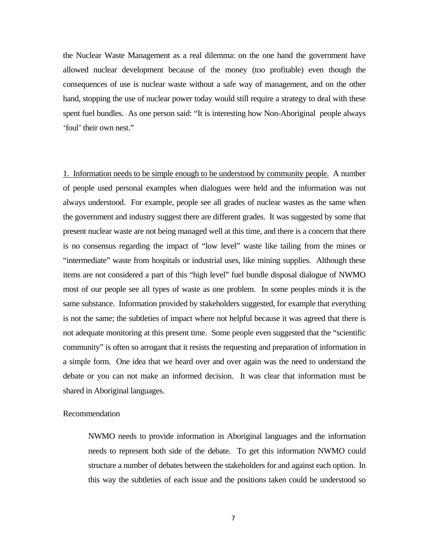the Nuclear Waste Management as a real dilemma: on the one hand the government have allowed nuclear development because of the money (too profitable) even though the consequences of use is nuclear waste without a safe way of management, and on the other hand, stopping the use of nuclear power today would still require a strategy to deal with these spent fuel bundles. As one person said: "It is interesting how Non-Aboriginal people always 'foul' their own nest."

1. Information needs to be simple enough to be understood by community people. A number of people used personal examples when dialogues were held and the information was not always understood. For example, people see all grades of nuclear wastes as the same when the government and industry suggest there are different grades. It was suggested by some that present nuclear waste are not being managed well at this time, and there is a concern that there is no consensus regarding the impact of "low level" waste like tailing from the mines or "intermediate" waste from hospitals or industrial uses, like mining supplies. Although these items are not considered a part of this "high level" fuel bundle disposal dialogue of NWMO most of our people see all types of waste as one problem. In some peoples minds it is the same substance. Information provided by stakeholders suggested, for example that everything is not the same; the subtleties of impact where not helpful because it was agreed that there is not adequate monitoring at this present time. Some people even suggested that the "scientific community" is often so arrogant that it resists the requesting and preparation of information in a simple form. One idea that we heard over and over again was the need to understand the debate or you can not make an informed decision. It was clear that information must be shared in Aboriginal languages.

#### Recommendation

NWMO needs to provide information in Aboriginal languages and the information needs to represent both side of the debate. To get this information NWMO could structure a number of debates between the stakeholders for and against each option. In this way the subtleties of each issue and the positions taken could be understood so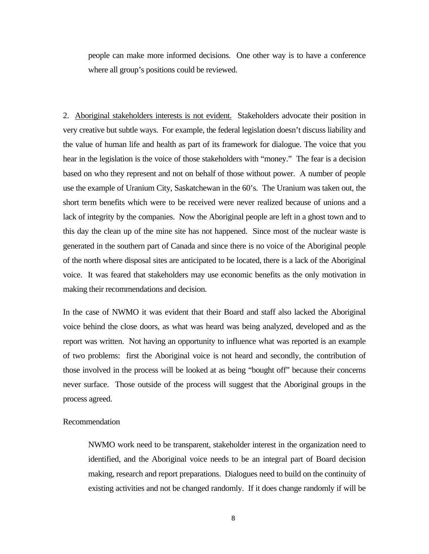people can make more informed decisions. One other way is to have a conference where all group's positions could be reviewed.

2. Aboriginal stakeholders interests is not evident. Stakeholders advocate their position in very creative but subtle ways. For example, the federal legislation doesn't discuss liability and the value of human life and health as part of its framework for dialogue. The voice that you hear in the legislation is the voice of those stakeholders with "money." The fear is a decision based on who they represent and not on behalf of those without power. A number of people use the example of Uranium City, Saskatchewan in the 60's. The Uranium was taken out, the short term benefits which were to be received were never realized because of unions and a lack of integrity by the companies. Now the Aboriginal people are left in a ghost town and to this day the clean up of the mine site has not happened. Since most of the nuclear waste is generated in the southern part of Canada and since there is no voice of the Aboriginal people of the north where disposal sites are anticipated to be located, there is a lack of the Aboriginal voice. It was feared that stakeholders may use economic benefits as the only motivation in making their recommendations and decision.

In the case of NWMO it was evident that their Board and staff also lacked the Aboriginal voice behind the close doors, as what was heard was being analyzed, developed and as the report was written. Not having an opportunity to influence what was reported is an example of two problems: first the Aboriginal voice is not heard and secondly, the contribution of those involved in the process will be looked at as being "bought off" because their concerns never surface. Those outside of the process will suggest that the Aboriginal groups in the process agreed.

#### Recommendation

NWMO work need to be transparent, stakeholder interest in the organization need to identified, and the Aboriginal voice needs to be an integral part of Board decision making, research and report preparations. Dialogues need to build on the continuity of existing activities and not be changed randomly. If it does change randomly if will be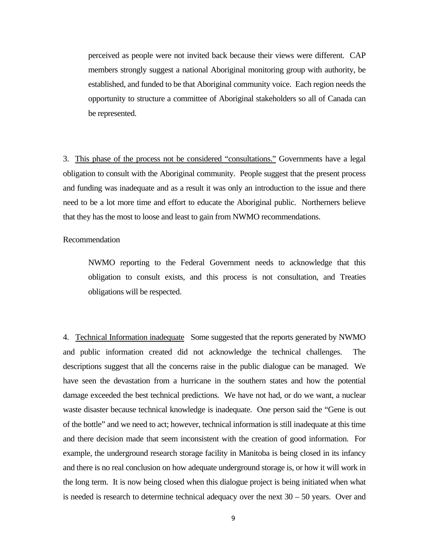perceived as people were not invited back because their views were different. CAP members strongly suggest a national Aboriginal monitoring group with authority, be established, and funded to be that Aboriginal community voice. Each region needs the opportunity to structure a committee of Aboriginal stakeholders so all of Canada can be represented.

3. This phase of the process not be considered "consultations." Governments have a legal obligation to consult with the Aboriginal community. People suggest that the present process and funding was inadequate and as a result it was only an introduction to the issue and there need to be a lot more time and effort to educate the Aboriginal public. Northerners believe that they has the most to loose and least to gain from NWMO recommendations.

### Recommendation

NWMO reporting to the Federal Government needs to acknowledge that this obligation to consult exists, and this process is not consultation, and Treaties obligations will be respected.

4. Technical Information inadequate Some suggested that the reports generated by NWMO and public information created did not acknowledge the technical challenges. The descriptions suggest that all the concerns raise in the public dialogue can be managed. We have seen the devastation from a hurricane in the southern states and how the potential damage exceeded the best technical predictions. We have not had, or do we want, a nuclear waste disaster because technical knowledge is inadequate. One person said the "Gene is out of the bottle" and we need to act; however, technical information is still inadequate at this time and there decision made that seem inconsistent with the creation of good information. For example, the underground research storage facility in Manitoba is being closed in its infancy and there is no real conclusion on how adequate underground storage is, or how it will work in the long term. It is now being closed when this dialogue project is being initiated when what is needed is research to determine technical adequacy over the next  $30 - 50$  years. Over and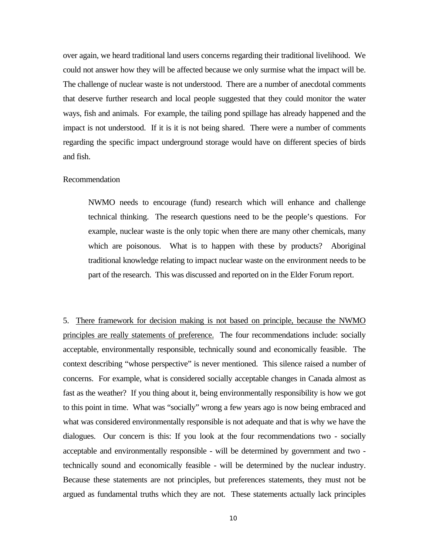over again, we heard traditional land users concerns regarding their traditional livelihood. We could not answer how they will be affected because we only surmise what the impact will be. The challenge of nuclear waste is not understood. There are a number of anecdotal comments that deserve further research and local people suggested that they could monitor the water ways, fish and animals. For example, the tailing pond spillage has already happened and the impact is not understood. If it is it is not being shared. There were a number of comments regarding the specific impact underground storage would have on different species of birds and fish.

#### Recommendation

NWMO needs to encourage (fund) research which will enhance and challenge technical thinking. The research questions need to be the people's questions. For example, nuclear waste is the only topic when there are many other chemicals, many which are poisonous. What is to happen with these by products? Aboriginal traditional knowledge relating to impact nuclear waste on the environment needs to be part of the research. This was discussed and reported on in the Elder Forum report.

5. There framework for decision making is not based on principle, because the NWMO principles are really statements of preference. The four recommendations include: socially acceptable, environmentally responsible, technically sound and economically feasible. The context describing "whose perspective" is never mentioned. This silence raised a number of concerns. For example, what is considered socially acceptable changes in Canada almost as fast as the weather? If you thing about it, being environmentally responsibility is how we got to this point in time. What was "socially" wrong a few years ago is now being embraced and what was considered environmentally responsible is not adequate and that is why we have the dialogues. Our concern is this: If you look at the four recommendations two - socially acceptable and environmentally responsible - will be determined by government and two technically sound and economically feasible - will be determined by the nuclear industry. Because these statements are not principles, but preferences statements, they must not be argued as fundamental truths which they are not. These statements actually lack principles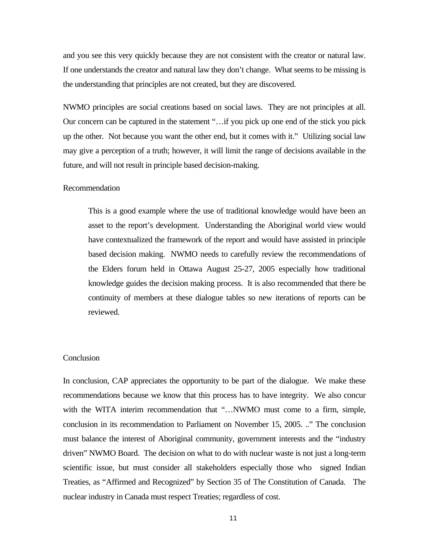and you see this very quickly because they are not consistent with the creator or natural law. If one understands the creator and natural law they don't change. What seems to be missing is the understanding that principles are not created, but they are discovered.

NWMO principles are social creations based on social laws. They are not principles at all. Our concern can be captured in the statement "…if you pick up one end of the stick you pick up the other. Not because you want the other end, but it comes with it." Utilizing social law may give a perception of a truth; however, it will limit the range of decisions available in the future, and will not result in principle based decision-making.

### Recommendation

This is a good example where the use of traditional knowledge would have been an asset to the report's development. Understanding the Aboriginal world view would have contextualized the framework of the report and would have assisted in principle based decision making. NWMO needs to carefully review the recommendations of the Elders forum held in Ottawa August 25-27, 2005 especially how traditional knowledge guides the decision making process. It is also recommended that there be continuity of members at these dialogue tables so new iterations of reports can be reviewed.

## **Conclusion**

In conclusion, CAP appreciates the opportunity to be part of the dialogue. We make these recommendations because we know that this process has to have integrity. We also concur with the WITA interim recommendation that "...NWMO must come to a firm, simple, conclusion in its recommendation to Parliament on November 15, 2005. .." The conclusion must balance the interest of Aboriginal community, government interests and the "industry driven" NWMO Board. The decision on what to do with nuclear waste is not just a long-term scientific issue, but must consider all stakeholders especially those who signed Indian Treaties, as "Affirmed and Recognized" by Section 35 of The Constitution of Canada. The nuclear industry in Canada must respect Treaties; regardless of cost.